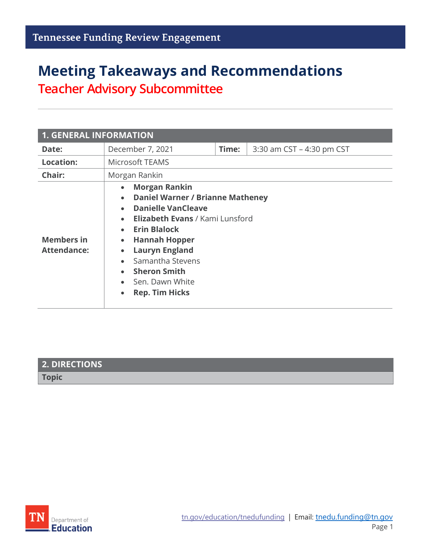# **Meeting Takeaways and Recommendations Teacher Advisory Subcommittee**

| <b>1. GENERAL INFORMATION</b>           |                                                                                                                                                                                                                                                                                                                                                                                                                                    |       |                           |  |
|-----------------------------------------|------------------------------------------------------------------------------------------------------------------------------------------------------------------------------------------------------------------------------------------------------------------------------------------------------------------------------------------------------------------------------------------------------------------------------------|-------|---------------------------|--|
| Date:                                   | December 7, 2021                                                                                                                                                                                                                                                                                                                                                                                                                   | Time: | 3:30 am CST - 4:30 pm CST |  |
| <b>Location:</b>                        | <b>Microsoft TEAMS</b>                                                                                                                                                                                                                                                                                                                                                                                                             |       |                           |  |
| Chair:                                  | Morgan Rankin                                                                                                                                                                                                                                                                                                                                                                                                                      |       |                           |  |
| <b>Members in</b><br><b>Attendance:</b> | <b>Morgan Rankin</b><br>$\bullet$<br><b>Daniel Warner / Brianne Matheney</b><br>$\bullet$<br><b>Danielle VanCleave</b><br>$\bullet$<br>• Elizabeth Evans / Kami Lunsford<br><b>Erin Blalock</b><br>$\bullet$<br><b>Hannah Hopper</b><br>$\bullet$<br><b>Lauryn England</b><br>$\bullet$<br>Samantha Stevens<br>$\bullet$<br><b>Sheron Smith</b><br>$\bullet$<br>Sen. Dawn White<br>$\bullet$<br><b>Rep. Tim Hicks</b><br>$\bullet$ |       |                           |  |

| 2. DIRECTIONS |  |
|---------------|--|
| <b>Topic</b>  |  |

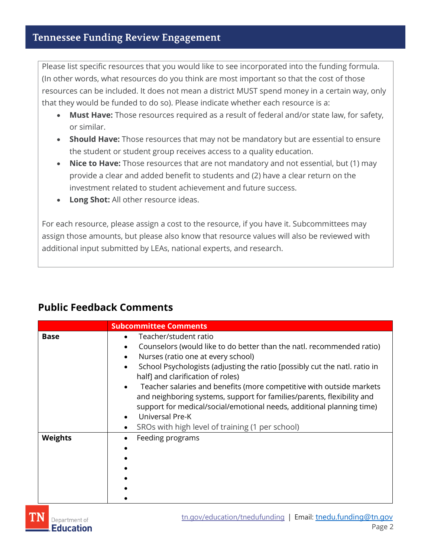Please list specific resources that you would like to see incorporated into the funding formula. (In other words, what resources do you think are most important so that the cost of those resources can be included. It does not mean a district MUST spend money in a certain way, only that they would be funded to do so). Please indicate whether each resource is a:

- **Must Have:** Those resources required as a result of federal and/or state law, for safety, or similar.
- **Should Have:** Those resources that may not be mandatory but are essential to ensure the student or student group receives access to a quality education.
- **Nice to Have:** Those resources that are not mandatory and not essential, but (1) may provide a clear and added benefit to students and (2) have a clear return on the investment related to student achievement and future success.
- **Long Shot:** All other resource ideas.

For each resource, please assign a cost to the resource, if you have it. Subcommittees may assign those amounts, but please also know that resource values will also be reviewed with additional input submitted by LEAs, national experts, and research.

## **Public Feedback Comments**

|                | <b>Subcommittee Comments</b>                                                                                                                                                                                                                                                                                                                                                                                                                                                                                                                                                                                                                        |  |
|----------------|-----------------------------------------------------------------------------------------------------------------------------------------------------------------------------------------------------------------------------------------------------------------------------------------------------------------------------------------------------------------------------------------------------------------------------------------------------------------------------------------------------------------------------------------------------------------------------------------------------------------------------------------------------|--|
| <b>Base</b>    | Teacher/student ratio<br>$\bullet$<br>Counselors (would like to do better than the natl. recommended ratio)<br>$\bullet$<br>Nurses (ratio one at every school)<br>$\bullet$<br>School Psychologists (adjusting the ratio [possibly cut the natl. ratio in<br>$\bullet$<br>half] and clarification of roles)<br>Teacher salaries and benefits (more competitive with outside markets<br>$\bullet$<br>and neighboring systems, support for families/parents, flexibility and<br>support for medical/social/emotional needs, additional planning time)<br>Universal Pre-K<br>$\bullet$<br>SROs with high level of training (1 per school)<br>$\bullet$ |  |
| <b>Weights</b> | Feeding programs<br>$\bullet$<br>$\bullet$                                                                                                                                                                                                                                                                                                                                                                                                                                                                                                                                                                                                          |  |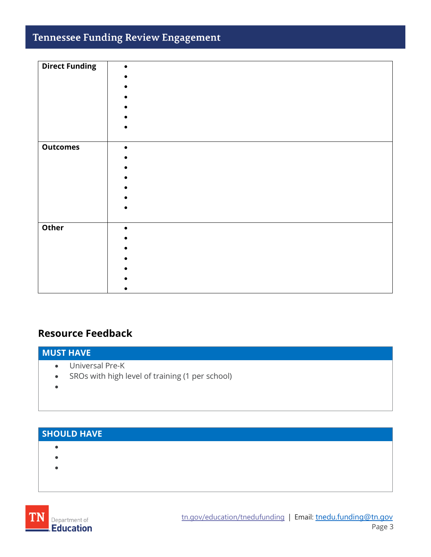# **Tennessee Funding Review Engagement**

| <b>Direct Funding</b> |           |
|-----------------------|-----------|
|                       |           |
|                       |           |
|                       |           |
|                       |           |
|                       |           |
|                       |           |
|                       |           |
| <b>Outcomes</b>       | $\bullet$ |
|                       |           |
|                       |           |
|                       |           |
|                       |           |
|                       |           |
|                       |           |
|                       |           |
| Other                 | $\bullet$ |
|                       |           |
|                       |           |
|                       |           |
|                       |           |
|                       |           |
|                       |           |

## **Resource Feedback**

#### **MUST HAVE**

- Universal Pre-K
- SROs with high level of training (1 per school)
- •

# **SHOULD HAVE**

- •
- •
- •